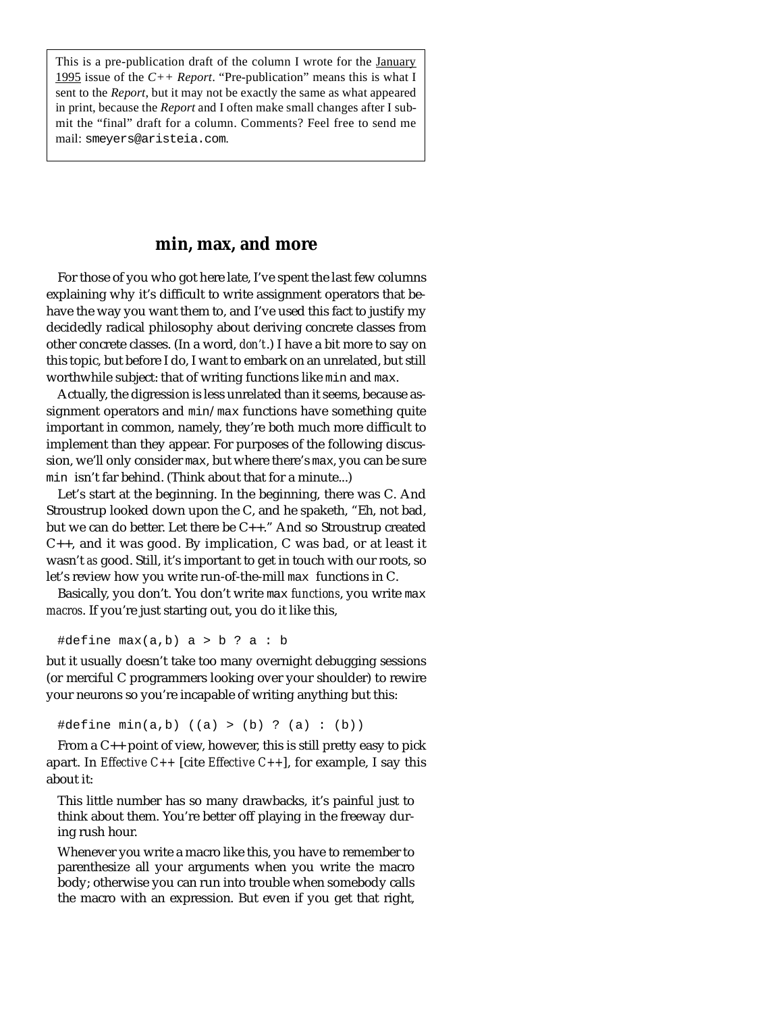This is a pre-publication draft of the column I wrote for the **January** 1995 issue of the *C++ Report*. "Pre-publication" means this is what I sent to the *Report*, but it may not be exactly the same as what appeared in print, because the *Report* and I often make small changes after I submit the "final" draft for a column. Comments? Feel free to send me mail: smeyers@aristeia.com.

## **min, max, and more**

For those of you who got here late, I've spent the last few columns explaining why it's difficult to write assignment operators that behave the way you want them to, and I've used this fact to justify my decidedly radical philosophy about deriving concrete classes from other concrete classes. (In a word, *don't*.) I have a bit more to say on this topic, but before I do, I want to embark on an unrelated, but still worthwhile subject: that of writing functions like min and max.

Actually, the digression is less unrelated than it seems, because assignment operators and min/max functions have something quite important in common, namely, they're both much more difficult to implement than they appear. For purposes of the following discussion, we'll only consider max, but where there's max, you can be sure min isn't far behind. (Think about that for a minute...)

Let's start at the beginning. In the beginning, there was C. And Stroustrup looked down upon the C, and he spaketh, "Eh, not bad, but we can do better. Let there be C++." And so Stroustrup created C++, and it was good. By implication, C was bad, or at least it wasn't *as* good. Still, it's important to get in touch with our roots, so let's review how you write run-of-the-mill max functions in C.

Basically, you don't. You don't write max *functions*, you write max *macros*. If you're just starting out, you do it like this,

#define  $max(a, b)$  a > b ? a : b

but it usually doesn't take too many overnight debugging sessions (or merciful C programmers looking over your shoulder) to rewire your neurons so you're incapable of writing anything but this:

#define min(a,b) ((a) > (b) ? (a) : (b))

From a  $C_{++}$  point of view, however, this is still pretty easy to pick apart. In *Effective C++* [cite *Effective C++*], for example, I say this about it:

This little number has so many drawbacks, it's painful just to think about them. You're better off playing in the freeway during rush hour.

Whenever you write a macro like this, you have to remember to parenthesize all your arguments when you write the macro body; otherwise you can run into trouble when somebody calls the macro with an expression. But even if you get that right,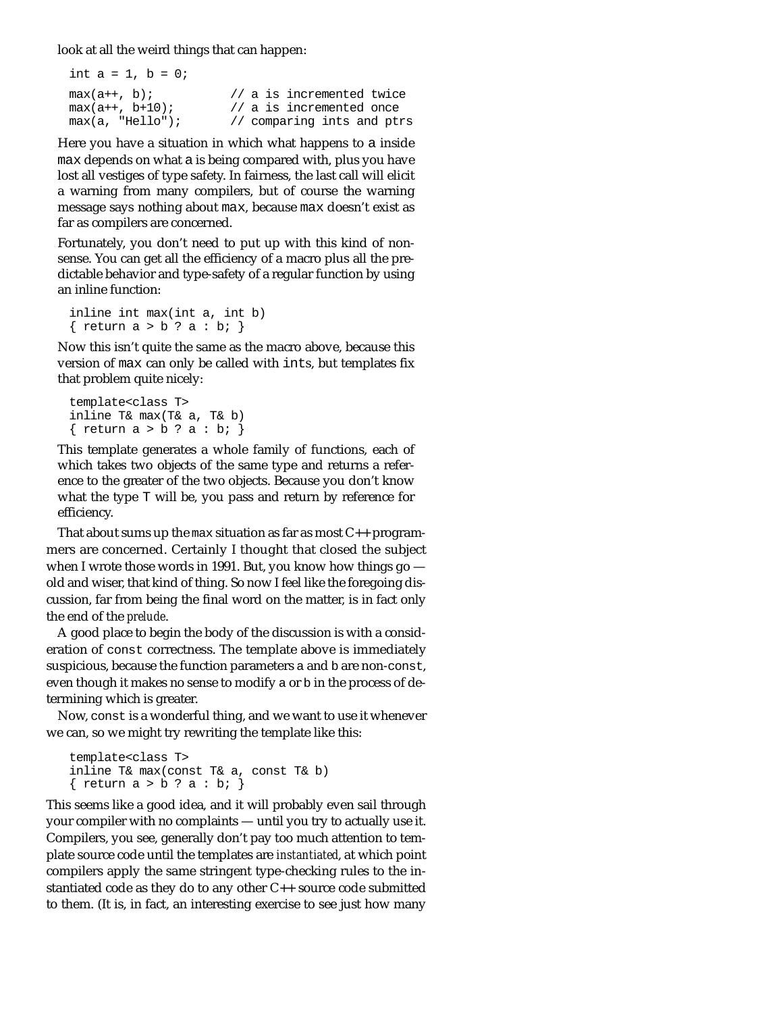look at all the weird things that can happen:

| int $a = 1$ , $b = 0$ ; |                            |
|-------------------------|----------------------------|
| $max(a++, b)$ ;         | // a is incremented twice  |
| $max(a++, b+10)$ ;      | // a is incremented once   |
| $max(a, "Hello")$ ;     | // comparing ints and ptrs |

Here you have a situation in which what happens to a inside max depends on what a is being compared with, plus you have lost all vestiges of type safety. In fairness, the last call will elicit a warning from many compilers, but of course the warning message says nothing about max, because max doesn't exist as far as compilers are concerned.

Fortunately, you don't need to put up with this kind of nonsense. You can get all the efficiency of a macro plus all the predictable behavior and type-safety of a regular function by using an inline function:

inline int max(int a, int b) { return  $a > b$  ?  $a : b$ ; }

Now this isn't quite the same as the macro above, because this version of max can only be called with ints, but templates fix that problem quite nicely:

```
template<class T>
inline T& max(T& a, T& b) 
{ return a > b ? a : b; }
```
This template generates a whole family of functions, each of which takes two objects of the same type and returns a reference to the greater of the two objects. Because you don't know what the type T will be, you pass and return by reference for efficiency.

That about sums up the max situation as far as most  $C_{++}$  programmers are concerned. Certainly I thought that closed the subject when I wrote those words in 1991. But, you know how things go old and wiser, that kind of thing. So now I feel like the foregoing discussion, far from being the final word on the matter, is in fact only the end of the *prelude*.

A good place to begin the body of the discussion is with a consideration of const correctness. The template above is immediately suspicious, because the function parameters a and b are non-const, even though it makes no sense to modify a or b in the process of determining which is greater.

Now, const is a wonderful thing, and we want to use it whenever we can, so we might try rewriting the template like this:

```
template<class T>
inline T& max(const T& a, const T& b) 
{ return a > b ? a : b; }
```
This seems like a good idea, and it will probably even sail through your compiler with no complaints — until you try to actually use it. Compilers, you see, generally don't pay too much attention to template source code until the templates are *instantiated*, at which point compilers apply the same stringent type-checking rules to the instantiated code as they do to any other C++ source code submitted to them. (It is, in fact, an interesting exercise to see just how many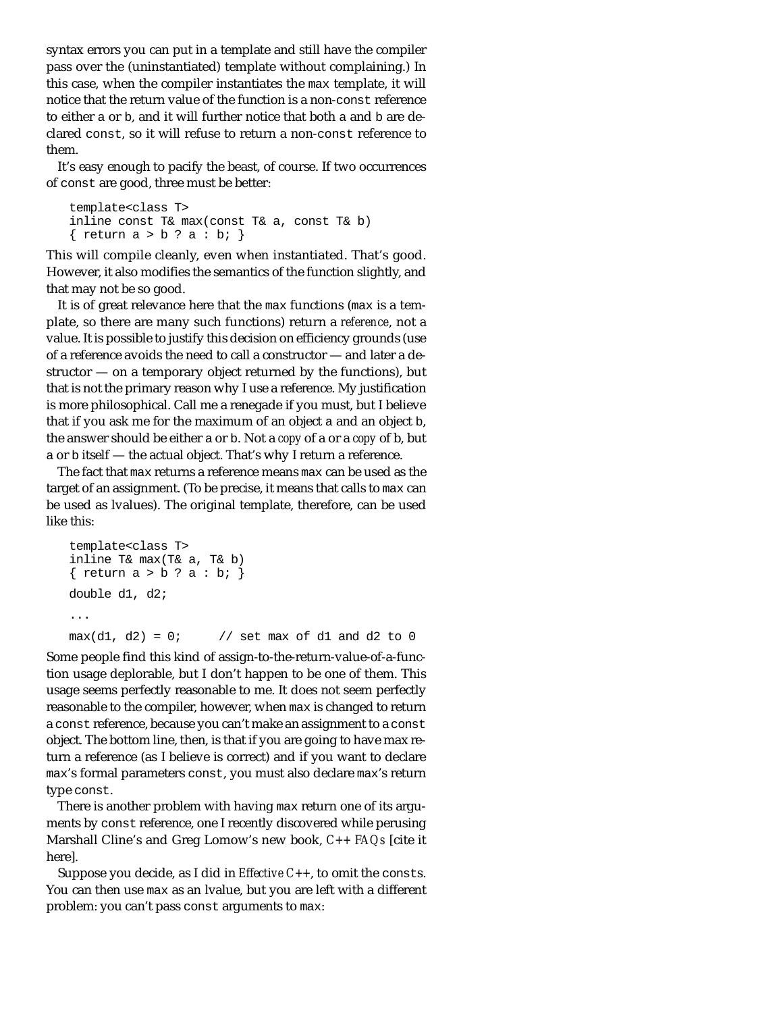syntax errors you can put in a template and still have the compiler pass over the (uninstantiated) template without complaining.) In this case, when the compiler instantiates the max template, it will notice that the return value of the function is a non-const reference to either a or b, and it will further notice that both a and b are declared const, so it will refuse to return a non-const reference to them.

It's easy enough to pacify the beast, of course. If two occurrences of const are good, three must be better:

```
template<class T>
inline const T& max(const T& a, const T& b) 
{ return a > b ? a : b; }
```
This will compile cleanly, even when instantiated. That's good. However, it also modifies the semantics of the function slightly, and that may not be so good.

It is of great relevance here that the max functions (max is a template, so there are many such functions) return a *reference*, not a value. It is possible to justify this decision on efficiency grounds (use of a reference avoids the need to call a constructor — and later a destructor — on a temporary object returned by the functions), but that is not the primary reason why I use a reference. My justification is more philosophical. Call me a renegade if you must, but I believe that if you ask me for the maximum of an object a and an object b, the answer should be either a or b. Not a *copy* of a or a *copy* of b, but a or b itself — the actual object. That's why I return a reference.

The fact that max returns a reference means max can be used as the target of an assignment. (To be precise, it means that calls to max can be used as lvalues). The original template, therefore, can be used like this:

```
template<class T>
inline T& max(T& a, T& b) 
{ return a > b ? a : b; }
double d1, d2;
...
max(d1, d2) = 0; // set max of d1 and d2 to 0
```
Some people find this kind of assign-to-the-return-value-of-a-function usage deplorable, but I don't happen to be one of them. This usage seems perfectly reasonable to me. It does not seem perfectly reasonable to the compiler, however, when max is changed to return a const reference, because you can't make an assignment to a const object. The bottom line, then, is that if you are going to have max return a reference (as I believe is correct) and if you want to declare max's formal parameters const, you must also declare max's return type const.

There is another problem with having max return one of its arguments by const reference, one I recently discovered while perusing Marshall Cline's and Greg Lomow's new book, *C++ FAQs* [cite it here].

Suppose you decide, as I did in *Effective C++*, to omit the consts. You can then use max as an lvalue, but you are left with a different problem: you can't pass const arguments to max: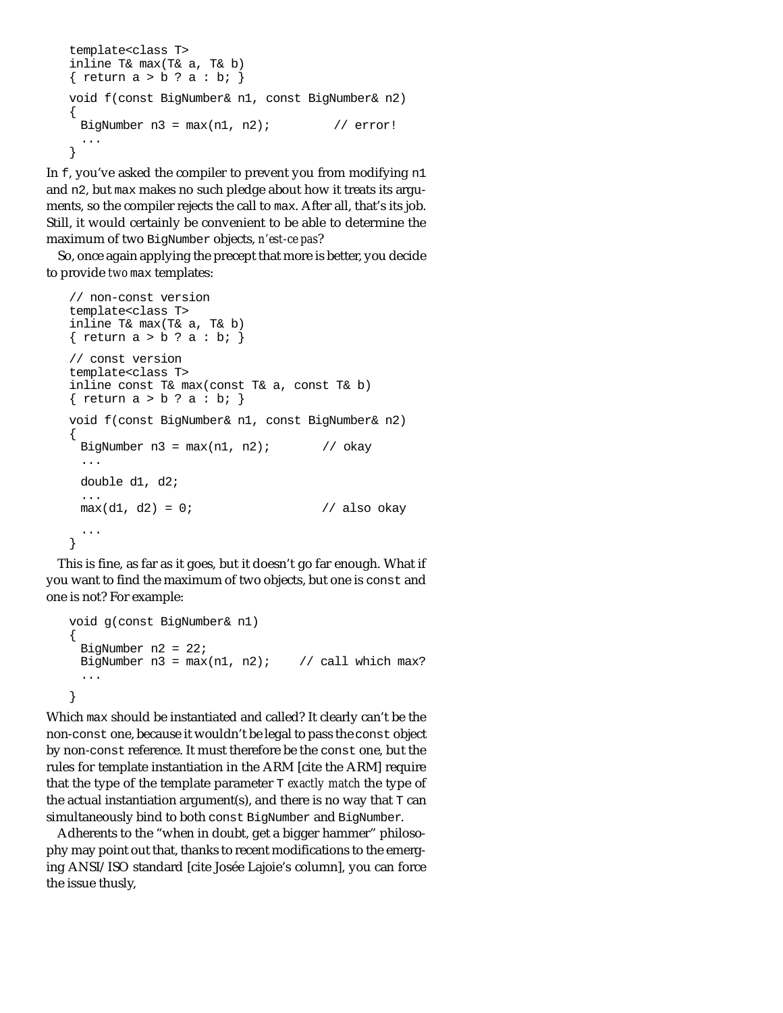```
template<class T>
inline T& max(T& a, T& b) 
{ return a > b ? a : b; }
void f(const BigNumber& n1, const BigNumber& n2)
{
 BigNumber n3 = max(n1, n2); // error!
 ...
}
```
In f, you've asked the compiler to prevent you from modifying n1 and n2, but max makes no such pledge about how it treats its arguments, so the compiler rejects the call to max. After all, that's its job. Still, it would certainly be convenient to be able to determine the maximum of two BigNumber objects, *n'est-ce pas*?

So, once again applying the precept that more is better, you decide to provide *two* max templates:

```
// non-const version
template<class T>
inline T& max(T& a, T& b) 
{ return a > b ? a : b; }
// const version
template<class T>
inline const T& max(const T& a, const T& b) 
{ return a > b ? a : b; }
void f(const BigNumber& n1, const BigNumber& n2)
{
 BigNumber n3 = max(n1, n2); // okay
 ...
 double d1, d2;
 ...
 max(d1, d2) = 0; // also okay
 ...
}
```
This is fine, as far as it goes, but it doesn't go far enough. What if you want to find the maximum of two objects, but one is const and one is not? For example:

```
void g(const BigNumber& n1)
{
 BigNumber n2 = 22;
 BigNumber n3 = max(n1, n2); // call which max?
 ...
}
```
Which max should be instantiated and called? It clearly can't be the non-const one, because it wouldn't be legal to pass the const object by non-const reference. It must therefore be the const one, but the rules for template instantiation in the ARM [cite the ARM] require that the type of the template parameter T *exactly match* the type of the actual instantiation argument(s), and there is no way that  $T \text{ can}$ simultaneously bind to both const BigNumber and BigNumber.

Adherents to the "when in doubt, get a bigger hammer" philosophy may point out that, thanks to recent modifications to the emerging ANSI/ISO standard [cite Josée Lajoie's column], you can force the issue thusly,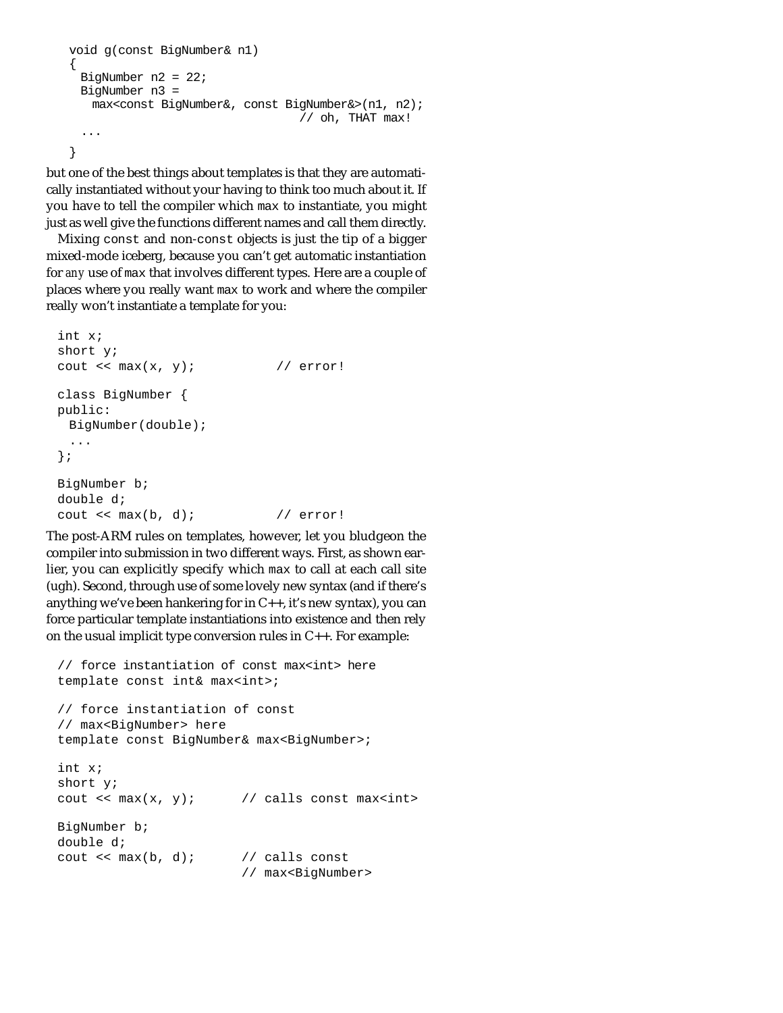```
void g(const BigNumber& n1)
{
 BigNumber n2 = 22;
 BigNumber n3 = 
   max<const BigNumber&, const BigNumber&>(n1, n2);
                                  // oh, THAT max!
 ...
}
```
but one of the best things about templates is that they are automatically instantiated without your having to think too much about it. If you have to tell the compiler which max to instantiate, you might just as well give the functions different names and call them directly.

Mixing const and non-const objects is just the tip of a bigger mixed-mode iceberg, because you can't get automatic instantiation for *any* use of max that involves different types. Here are a couple of places where you really want max to work and where the compiler really won't instantiate a template for you:

```
int x;
short y;
cout \langle \times \max(x, y) \rangle // error!
class BigNumber {
public:
 BigNumber(double);
  ...
};
BigNumber b;
double d;
cout \langle max(b, d); // error!
```
The post-ARM rules on templates, however, let you bludgeon the compiler into submission in two different ways. First, as shown earlier, you can explicitly specify which max to call at each call site (ugh). Second, through use of some lovely new syntax (and if there's anything we've been hankering for in C++, it's new syntax), you can force particular template instantiations into existence and then rely on the usual implicit type conversion rules in C++. For example:

```
// force instantiation of const max<int> here
template const int& max<int>;
// force instantiation of const
// max<BigNumber> here
template const BigNumber& max<BigNumber>;
int x;
short y;
cout \langle x, y \rangle; // calls const max\langle x, y \rangleBigNumber b;
double d;
cout \langle max(b, d); // calls const
                          // max<BigNumber>
```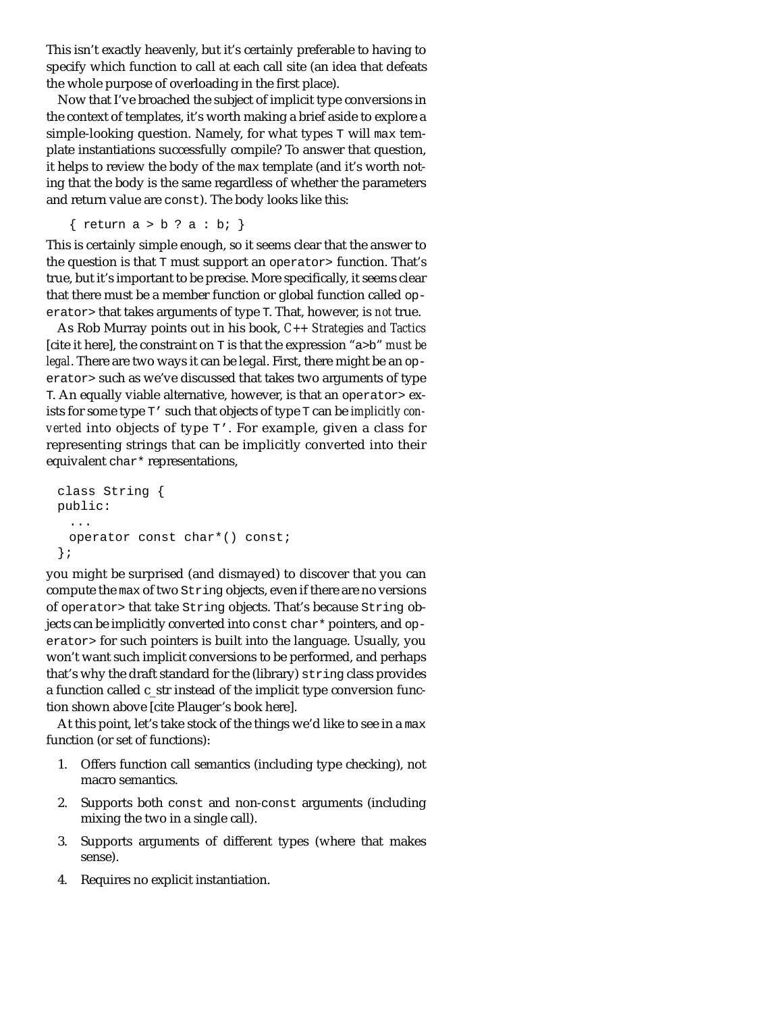This isn't exactly heavenly, but it's certainly preferable to having to specify which function to call at each call site (an idea that defeats the whole purpose of overloading in the first place).

Now that I've broached the subject of implicit type conversions in the context of templates, it's worth making a brief aside to explore a simple-looking question. Namely, for what types T will max template instantiations successfully compile? To answer that question, it helps to review the body of the max template (and it's worth noting that the body is the same regardless of whether the parameters and return value are const). The body looks like this:

{ return  $a > b$  ?  $a : b$ ; }

This is certainly simple enough, so it seems clear that the answer to the question is that T must support an operator> function. That's true, but it's important to be precise. More specifically, it seems clear that there must be a member function or global function called operator> that takes arguments of type T. That, however, is *not* true.

As Rob Murray points out in his book, *C++ Strategies and Tactics* [cite it here], the constraint on T is that the expression "a>b" *must be legal*. There are two ways it can be legal. First, there might be an operator> such as we've discussed that takes two arguments of type T. An equally viable alternative, however, is that an operator> exists for some type T' such that objects of type T can be *implicitly converted* into objects of type T'. For example, given a class for representing strings that can be implicitly converted into their equivalent char\* representations,

```
class String {
public:
  ...
 operator const char*() const;
};
```
you might be surprised (and dismayed) to discover that you can compute the max of two String objects, even if there are no versions of operator> that take String objects. That's because String objects can be implicitly converted into const char\* pointers, and operator> for such pointers is built into the language. Usually, you won't want such implicit conversions to be performed, and perhaps that's why the draft standard for the (library) string class provides a function called c\_str instead of the implicit type conversion function shown above [cite Plauger's book here].

At this point, let's take stock of the things we'd like to see in a max function (or set of functions):

- 1. Offers function call semantics (including type checking), not macro semantics.
- 2. Supports both const and non-const arguments (including mixing the two in a single call).
- 3. Supports arguments of different types (where that makes sense).
- 4. Requires no explicit instantiation.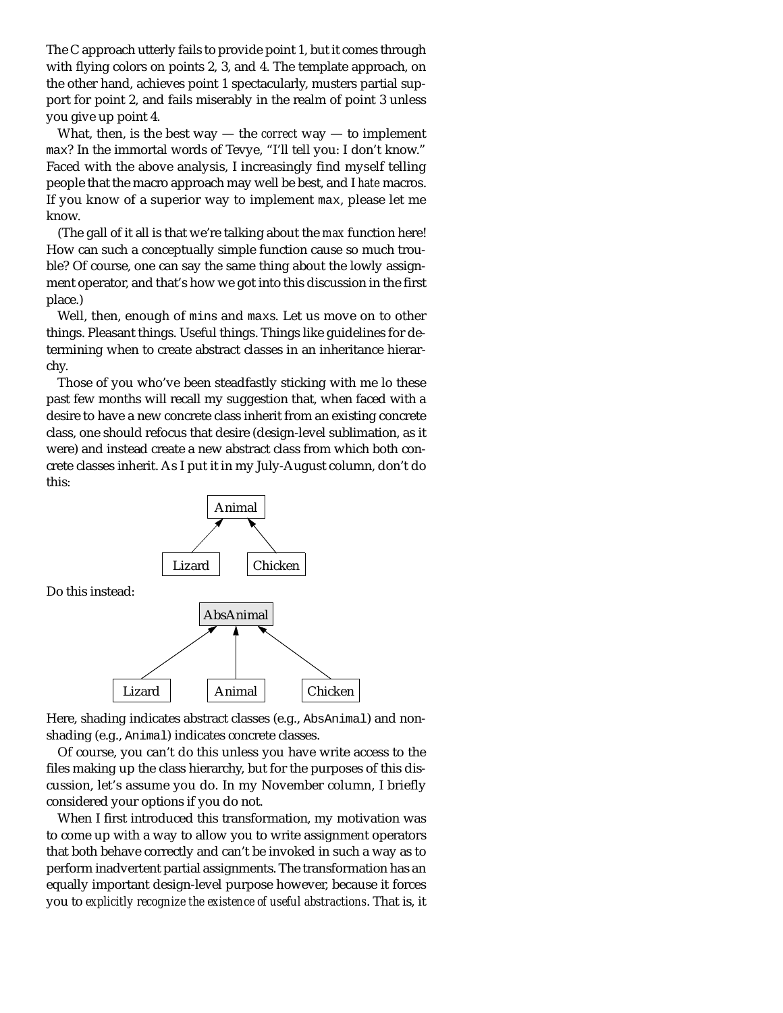The C approach utterly fails to provide point 1, but it comes through with flying colors on points 2, 3, and 4. The template approach, on the other hand, achieves point 1 spectacularly, musters partial support for point 2, and fails miserably in the realm of point 3 unless you give up point 4.

What, then, is the best way — the *correct* way — to implement max? In the immortal words of Tevye, "I'll tell you: I don't know." Faced with the above analysis, I increasingly find myself telling people that the macro approach may well be best, and I *hate* macros. If you know of a superior way to implement max, please let me know.

(The gall of it all is that we're talking about the *max* function here! How can such a conceptually simple function cause so much trouble? Of course, one can say the same thing about the lowly assignment operator, and that's how we got into this discussion in the first place.)

Well, then, enough of mins and maxs. Let us move on to other things. Pleasant things. Useful things. Things like guidelines for determining when to create abstract classes in an inheritance hierarchy.

Those of you who've been steadfastly sticking with me lo these past few months will recall my suggestion that, when faced with a desire to have a new concrete class inherit from an existing concrete class, one should refocus that desire (design-level sublimation, as it were) and instead create a new abstract class from which both concrete classes inherit. As I put it in my July-August column, don't do this:



Here, shading indicates abstract classes (e.g., AbsAnimal) and nonshading (e.g., Animal) indicates concrete classes.

Of course, you can't do this unless you have write access to the files making up the class hierarchy, but for the purposes of this discussion, let's assume you do. In my November column, I briefly considered your options if you do not.

When I first introduced this transformation, my motivation was to come up with a way to allow you to write assignment operators that both behave correctly and can't be invoked in such a way as to perform inadvertent partial assignments. The transformation has an equally important design-level purpose however, because it forces you to *explicitly recognize the existence of useful abstractions*. That is, it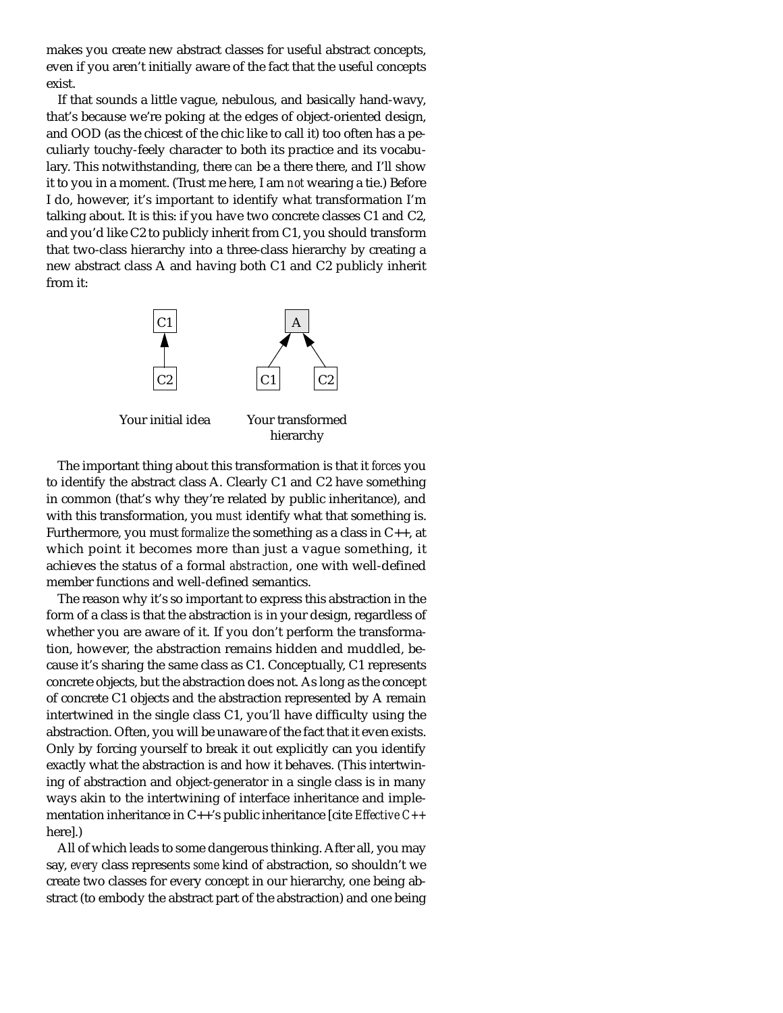makes you create new abstract classes for useful abstract concepts, even if you aren't initially aware of the fact that the useful concepts exist.

If that sounds a little vague, nebulous, and basically hand-wavy, that's because we're poking at the edges of object-oriented design, and OOD (as the chicest of the chic like to call it) too often has a peculiarly touchy-feely character to both its practice and its vocabulary. This notwithstanding, there *can* be a there there, and I'll show it to you in a moment. (Trust me here, I am *not* wearing a tie.) Before I do, however, it's important to identify what transformation I'm talking about. It is this: if you have two concrete classes C1 and C2, and you'd like C2 to publicly inherit from C1, you should transform that two-class hierarchy into a three-class hierarchy by creating a new abstract class A and having both C1 and C2 publicly inherit from it:



hierarchy

The important thing about this transformation is that it *forces* you to identify the abstract class A. Clearly C1 and C2 have something in common (that's why they're related by public inheritance), and with this transformation, you *must* identify what that something is. Furthermore, you must *formalize* the something as a class in C++, at which point it becomes more than just a vague something, it achieves the status of a formal *abstraction*, one with well-defined member functions and well-defined semantics.

The reason why it's so important to express this abstraction in the form of a class is that the abstraction *is* in your design, regardless of whether you are aware of it. If you don't perform the transformation, however, the abstraction remains hidden and muddled, because it's sharing the same class as C1. Conceptually, C1 represents concrete objects, but the abstraction does not. As long as the concept of concrete C1 objects and the abstraction represented by A remain intertwined in the single class C1, you'll have difficulty using the abstraction. Often, you will be unaware of the fact that it even exists. Only by forcing yourself to break it out explicitly can you identify exactly what the abstraction is and how it behaves. (This intertwining of abstraction and object-generator in a single class is in many ways akin to the intertwining of interface inheritance and implementation inheritance in C++'s public inheritance [cite *Effective C++* here].)

All of which leads to some dangerous thinking. After all, you may say, *every* class represents *some* kind of abstraction, so shouldn't we create two classes for every concept in our hierarchy, one being abstract (to embody the abstract part of the abstraction) and one being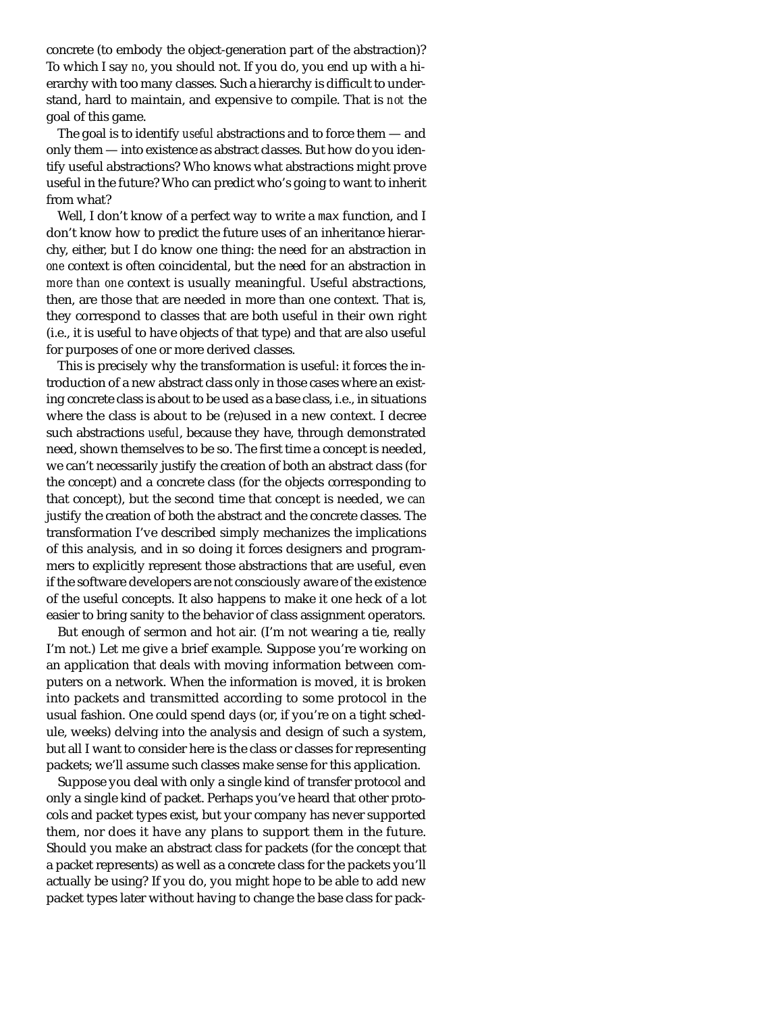concrete (to embody the object-generation part of the abstraction)? To which I say *no*, you should not. If you do, you end up with a hierarchy with too many classes. Such a hierarchy is difficult to understand, hard to maintain, and expensive to compile. That is *not* the goal of this game.

The goal is to identify *useful* abstractions and to force them — and only them — into existence as abstract classes. But how do you identify useful abstractions? Who knows what abstractions might prove useful in the future? Who can predict who's going to want to inherit from what?

Well, I don't know of a perfect way to write a max function, and I don't know how to predict the future uses of an inheritance hierarchy, either, but I do know one thing: the need for an abstraction in *one* context is often coincidental, but the need for an abstraction in *more than one* context is usually meaningful. Useful abstractions, then, are those that are needed in more than one context. That is, they correspond to classes that are both useful in their own right (i.e., it is useful to have objects of that type) and that are also useful for purposes of one or more derived classes.

This is precisely why the transformation is useful: it forces the introduction of a new abstract class only in those cases where an existing concrete class is about to be used as a base class, i.e., in situations where the class is about to be (re)used in a new context. I decree such abstractions *useful*, because they have, through demonstrated need, shown themselves to be so. The first time a concept is needed, we can't necessarily justify the creation of both an abstract class (for the concept) and a concrete class (for the objects corresponding to that concept), but the second time that concept is needed, we *can* justify the creation of both the abstract and the concrete classes. The transformation I've described simply mechanizes the implications of this analysis, and in so doing it forces designers and programmers to explicitly represent those abstractions that are useful, even if the software developers are not consciously aware of the existence of the useful concepts. It also happens to make it one heck of a lot easier to bring sanity to the behavior of class assignment operators.

But enough of sermon and hot air. (I'm not wearing a tie, really I'm not.) Let me give a brief example. Suppose you're working on an application that deals with moving information between computers on a network. When the information is moved, it is broken into packets and transmitted according to some protocol in the usual fashion. One could spend days (or, if you're on a tight schedule, weeks) delving into the analysis and design of such a system, but all I want to consider here is the class or classes for representing packets; we'll assume such classes make sense for this application.

Suppose you deal with only a single kind of transfer protocol and only a single kind of packet. Perhaps you've heard that other protocols and packet types exist, but your company has never supported them, nor does it have any plans to support them in the future. Should you make an abstract class for packets (for the concept that a packet represents) as well as a concrete class for the packets you'll actually be using? If you do, you might hope to be able to add new packet types later without having to change the base class for pack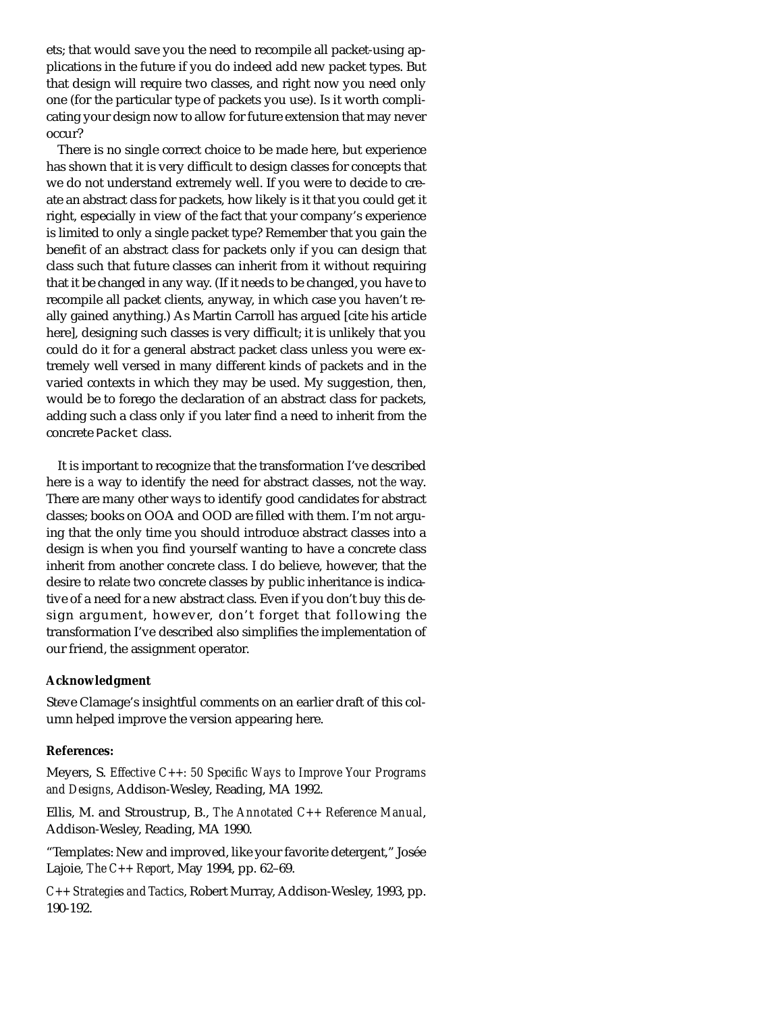ets; that would save you the need to recompile all packet-using applications in the future if you do indeed add new packet types. But that design will require two classes, and right now you need only one (for the particular type of packets you use). Is it worth complicating your design now to allow for future extension that may never occur?

There is no single correct choice to be made here, but experience has shown that it is very difficult to design classes for concepts that we do not understand extremely well. If you were to decide to create an abstract class for packets, how likely is it that you could get it right, especially in view of the fact that your company's experience is limited to only a single packet type? Remember that you gain the benefit of an abstract class for packets only if you can design that class such that future classes can inherit from it without requiring that it be changed in any way. (If it needs to be changed, you have to recompile all packet clients, anyway, in which case you haven't really gained anything.) As Martin Carroll has argued [cite his article here], designing such classes is very difficult; it is unlikely that you could do it for a general abstract packet class unless you were extremely well versed in many different kinds of packets and in the varied contexts in which they may be used. My suggestion, then, would be to forego the declaration of an abstract class for packets, adding such a class only if you later find a need to inherit from the concrete Packet class.

It is important to recognize that the transformation I've described here is *a* way to identify the need for abstract classes, not *the* way. There are many other ways to identify good candidates for abstract classes; books on OOA and OOD are filled with them. I'm not arguing that the only time you should introduce abstract classes into a design is when you find yourself wanting to have a concrete class inherit from another concrete class. I do believe, however, that the desire to relate two concrete classes by public inheritance is indicative of a need for a new abstract class. Even if you don't buy this design argument, however, don't forget that following the transformation I've described also simplifies the implementation of our friend, the assignment operator.

## **Acknowledgment**

Steve Clamage's insightful comments on an earlier draft of this column helped improve the version appearing here.

## **References:**

Meyers, S. *Effective C++: 50 Specific Ways to Improve Your Programs and Designs*, Addison-Wesley, Reading, MA 1992.

Ellis, M. and Stroustrup, B., *The Annotated C++ Reference Manual*, Addison-Wesley, Reading, MA 1990.

"Templates: New and improved, like your favorite detergent," Josée Lajoie, *The C++ Report*, May 1994, pp. 62–69.

*C++ Strategies and Tactics*, Robert Murray, Addison-Wesley, 1993, pp. 190-192.